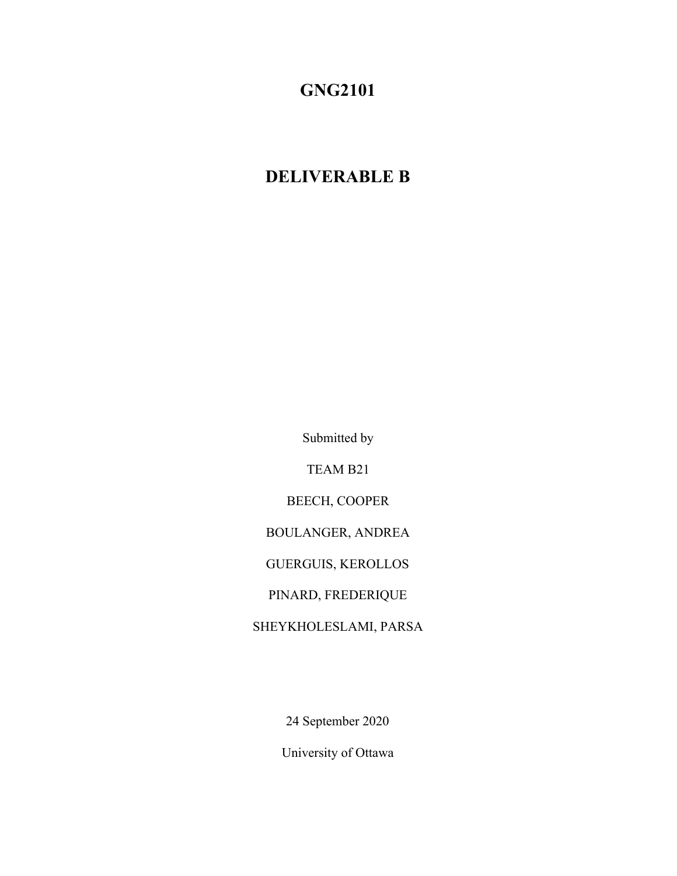# **GNG2101**

# **DELIVERABLE B**

Submitted by

TEAM B21

BEECH, COOPER

BOULANGER, ANDREA

GUERGUIS, KEROLLOS

PINARD, FREDERIQUE

SHEYKHOLESLAMI, PARSA

24 September 2020

University of Ottawa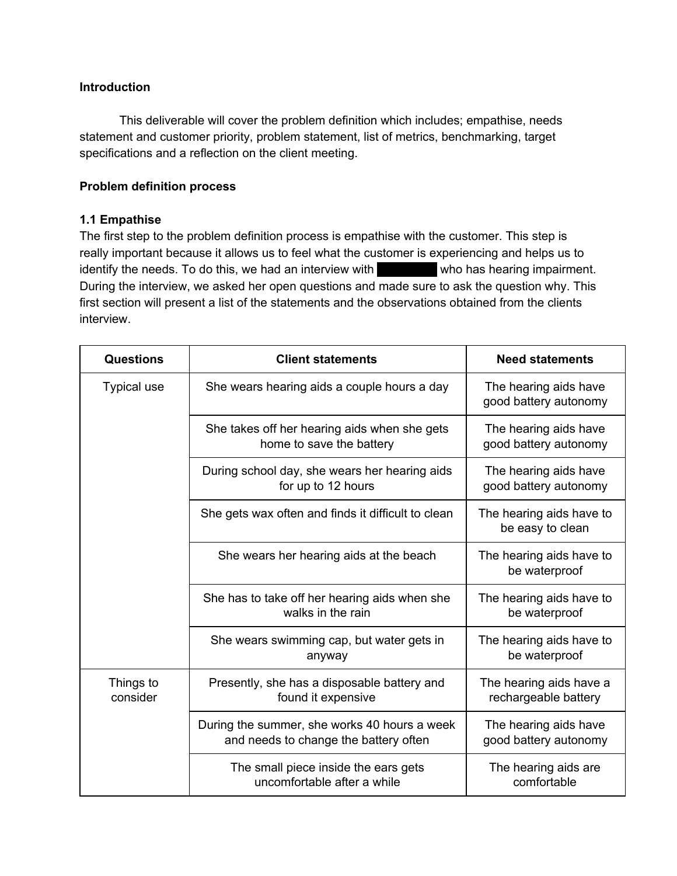### **Introduction**

This deliverable will cover the problem definition which includes; empathise, needs statement and customer priority, problem statement, list of metrics, benchmarking, target specifications and a reflection on the client meeting.

#### **Problem definition process**

### **1.1 Empathise**

The first step to the problem definition process is empathise with the customer. This step is really important because it allows us to feel what the customer is experiencing and helps us to identify the needs. To do this, we had an interview with **Abby Acair who has hearing impairment.** During the interview, we asked her open questions and made sure to ask the question why. This first section will present a list of the statements and the observations obtained from the clients interview.

| <b>Questions</b>      | <b>Client statements</b>                                                              | <b>Need statements</b>                          |
|-----------------------|---------------------------------------------------------------------------------------|-------------------------------------------------|
| <b>Typical use</b>    | She wears hearing aids a couple hours a day                                           | The hearing aids have<br>good battery autonomy  |
|                       | She takes off her hearing aids when she gets<br>home to save the battery              | The hearing aids have<br>good battery autonomy  |
|                       | During school day, she wears her hearing aids<br>for up to 12 hours                   | The hearing aids have<br>good battery autonomy  |
|                       | She gets wax often and finds it difficult to clean                                    | The hearing aids have to<br>be easy to clean    |
|                       | She wears her hearing aids at the beach                                               | The hearing aids have to<br>be waterproof       |
|                       | She has to take off her hearing aids when she<br>walks in the rain                    | The hearing aids have to<br>be waterproof       |
|                       | She wears swimming cap, but water gets in<br>anyway                                   | The hearing aids have to<br>be waterproof       |
| Things to<br>consider | Presently, she has a disposable battery and<br>found it expensive                     | The hearing aids have a<br>rechargeable battery |
|                       | During the summer, she works 40 hours a week<br>and needs to change the battery often | The hearing aids have<br>good battery autonomy  |
|                       | The small piece inside the ears gets<br>uncomfortable after a while                   | The hearing aids are<br>comfortable             |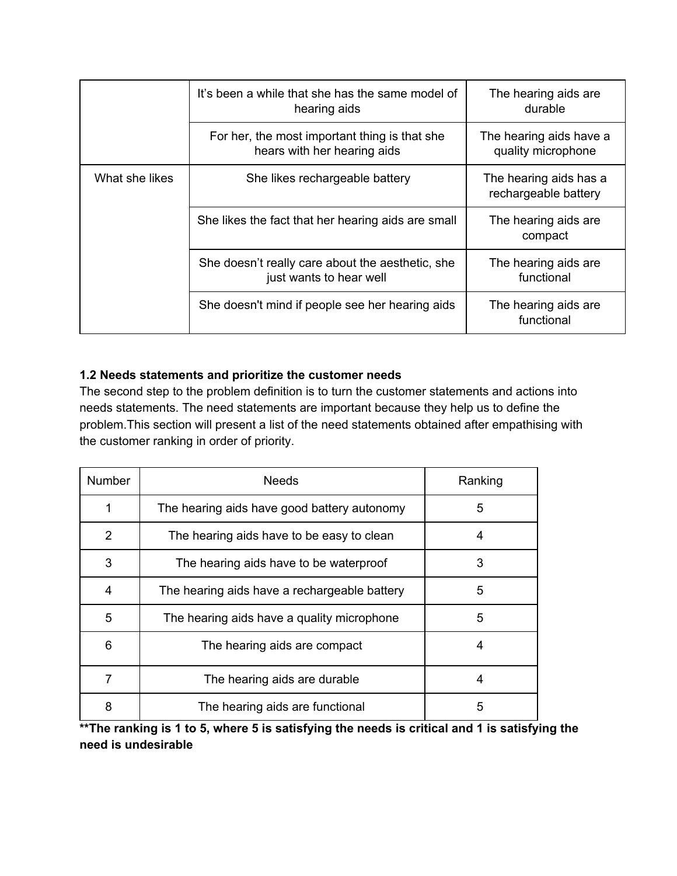|                | It's been a while that she has the same model of<br>hearing aids             |                                                |
|----------------|------------------------------------------------------------------------------|------------------------------------------------|
|                | For her, the most important thing is that she<br>hears with her hearing aids | The hearing aids have a<br>quality microphone  |
| What she likes | She likes rechargeable battery                                               | The hearing aids has a<br>rechargeable battery |
|                | She likes the fact that her hearing aids are small                           | The hearing aids are<br>compact                |
|                | She doesn't really care about the aesthetic, she<br>just wants to hear well  | The hearing aids are<br>functional             |
|                | She doesn't mind if people see her hearing aids                              | The hearing aids are<br>functional             |

## **1.2 Needs statements and prioritize the customer needs**

The second step to the problem definition is to turn the customer statements and actions into needs statements. The need statements are important because they help us to define the problem.This section will present a list of the need statements obtained after empathising with the customer ranking in order of priority.

| <b>Number</b> | <b>Needs</b>                                 | Ranking |
|---------------|----------------------------------------------|---------|
| 1             | The hearing aids have good battery autonomy  | 5       |
| 2             | The hearing aids have to be easy to clean    | 4       |
| 3             | The hearing aids have to be waterproof       | 3       |
| 4             | The hearing aids have a rechargeable battery | 5       |
| 5             | The hearing aids have a quality microphone   | 5       |
| 6             | The hearing aids are compact                 | 4       |
| 7             | The hearing aids are durable                 | 4       |
| 8             | The hearing aids are functional              | 5       |

\*\* The ranking is 1 to 5, where 5 is satisfying the needs is critical and 1 is satisfying the **need is undesirable**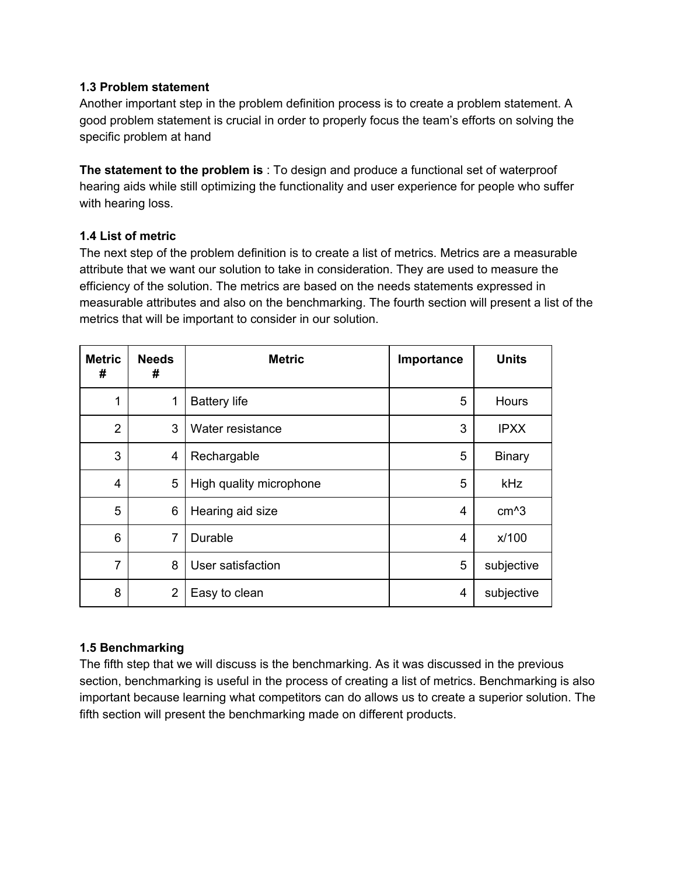#### **1.3 Problem statement**

Another important step in the problem definition process is to create a problem statement. A good problem statement is crucial in order to properly focus the team's efforts on solving the specific problem at hand

**The statement to the problem is** : To design and produce a functional set of waterproof hearing aids while still optimizing the functionality and user experience for people who suffer with hearing loss.

#### **1.4 List of metric**

The next step of the problem definition is to create a list of metrics. Metrics are a measurable attribute that we want our solution to take in consideration. They are used to measure the efficiency of the solution. The metrics are based on the needs statements expressed in measurable attributes and also on the benchmarking. The fourth section will present a list of the metrics that will be important to consider in our solution.

| <b>Metric</b><br># | <b>Needs</b><br># | <b>Metric</b>           | Importance     | <b>Units</b>      |
|--------------------|-------------------|-------------------------|----------------|-------------------|
| 1                  | 1                 | <b>Battery life</b>     | 5              | Hours             |
| $\overline{2}$     | 3                 | Water resistance        | 3              | <b>IPXX</b>       |
| 3                  | 4                 | Rechargable             | 5              | <b>Binary</b>     |
| 4                  | 5                 | High quality microphone | 5              | kHz               |
| 5                  | 6                 | Hearing aid size        | 4              | cm <sup>2</sup> 3 |
| 6                  | 7                 | Durable                 | 4              | x/100             |
| $\overline{7}$     | 8                 | User satisfaction       | 5              | subjective        |
| 8                  | $\overline{2}$    | Easy to clean           | $\overline{4}$ | subjective        |

### **1.5 Benchmarking**

The fifth step that we will discuss is the benchmarking. As it was discussed in the previous section, benchmarking is useful in the process of creating a list of metrics. Benchmarking is also important because learning what competitors can do allows us to create a superior solution. The fifth section will present the benchmarking made on different products.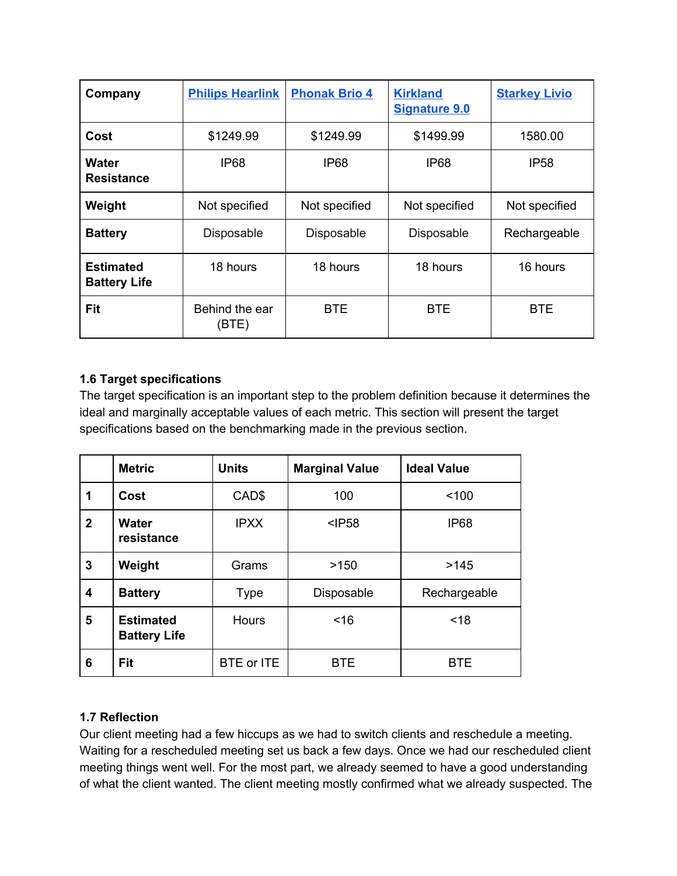| Company                                 | <b>Philips Hearlink</b> | <b>Phonak Brio 4</b> | <b>Kirkland</b><br><b>Signature 9.0</b> | <b>Starkey Livio</b> |
|-----------------------------------------|-------------------------|----------------------|-----------------------------------------|----------------------|
| Cost                                    | \$1249.99               | \$1249.99            | \$1499.99                               | 1580.00              |
| Water<br><b>Resistance</b>              | IP68                    | IP68                 | <b>IP68</b>                             | <b>IP58</b>          |
| Weight                                  | Not specified           | Not specified        | Not specified                           | Not specified        |
| <b>Battery</b>                          | Disposable              | Disposable           | <b>Disposable</b>                       | Rechargeable         |
| <b>Estimated</b><br><b>Battery Life</b> | 18 hours                | 18 hours             | 18 hours                                | 16 hours             |
| Fit                                     | Behind the ear<br>(BTE) | <b>BTE</b>           | <b>BTE</b>                              | <b>BTE</b>           |

## **1.6 Target specifications**

The target specification is an important step to the problem definition because it determines the ideal and marginally acceptable values of each metric. This section will present the target specifications based on the benchmarking made in the previous section.

|              | <b>Metric</b>                           | <b>Units</b> | <b>Marginal Value</b> | <b>Ideal Value</b> |
|--------------|-----------------------------------------|--------------|-----------------------|--------------------|
| 1            | Cost                                    | CAD\$        | 100                   | < 100              |
| $\mathbf{2}$ | <b>Water</b><br>resistance              | <b>IPXX</b>  | $<$ $P58$             | <b>IP68</b>        |
| 3            | Weight                                  | Grams        | >150                  | >145               |
| 4            | <b>Battery</b>                          | <b>Type</b>  | Disposable            | Rechargeable       |
| 5            | <b>Estimated</b><br><b>Battery Life</b> | <b>Hours</b> | ~16                   | < 18               |
| 6            | Fit                                     | BTE or ITE   | <b>BTE</b>            | <b>BTE</b>         |

### **1.7 Reflection**

Our client meeting had a few hiccups as we had to switch clients and reschedule a meeting. Waiting for a rescheduled meeting set us back a few days. Once we had our rescheduled client meeting things went well. For the most part, we already seemed to have a good understanding of what the client wanted. The client meeting mostly confirmed what we already suspected. The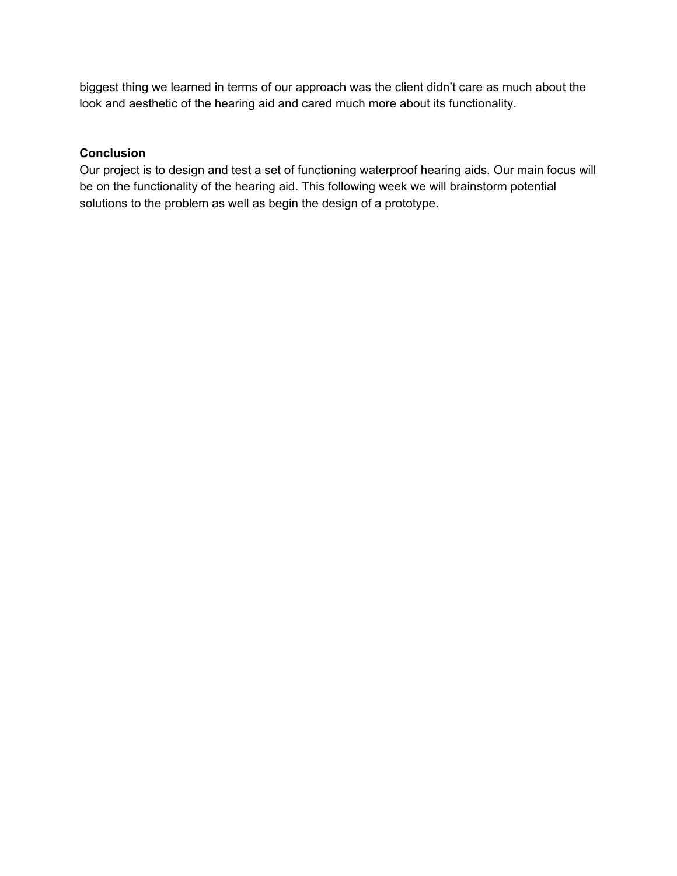biggest thing we learned in terms of our approach was the client didn't care as much about the look and aesthetic of the hearing aid and cared much more about its functionality.

### **Conclusion**

Our project is to design and test a set of functioning waterproof hearing aids. Our main focus will be on the functionality of the hearing aid. This following week we will brainstorm potential solutions to the problem as well as begin the design of a prototype.